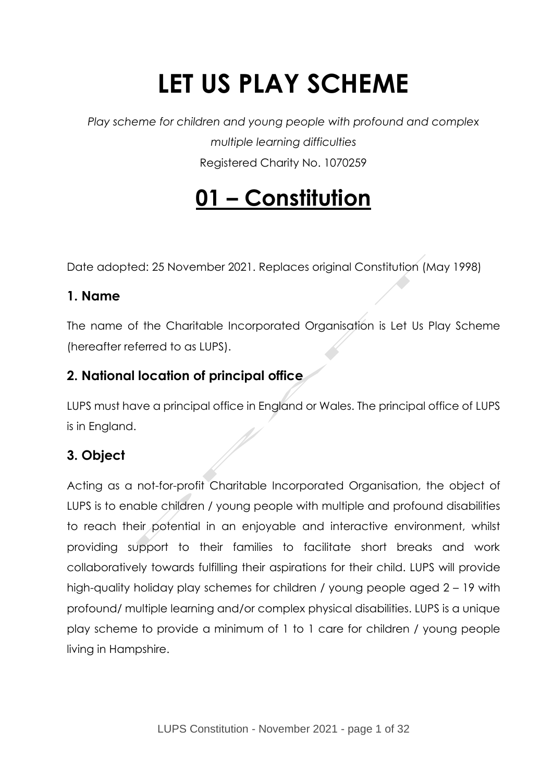# **LET US PLAY SCHEME**

*Play scheme for children and young people with profound and complex multiple learning difficulties* Registered Charity No. 1070259

## **01 – Constitution**

Date adopted: 25 November 2021. Replaces original Constitution (May 1998)

## **1. Name**

The name of the Charitable Incorporated Organisation is Let Us Play Scheme (hereafter referred to as LUPS).

## **2. National location of principal office**

LUPS must have a principal office in England or Wales. The principal office of LUPS is in England.

## **3. Object**

Acting as a not-for-profit Charitable Incorporated Organisation, the object of LUPS is to enable children / young people with multiple and profound disabilities to reach their potential in an enjoyable and interactive environment, whilst providing support to their families to facilitate short breaks and work collaboratively towards fulfilling their aspirations for their child. LUPS will provide high-quality holiday play schemes for children / young people aged 2 – 19 with profound/ multiple learning and/or complex physical disabilities. LUPS is a unique play scheme to provide a minimum of 1 to 1 care for children / young people living in Hampshire.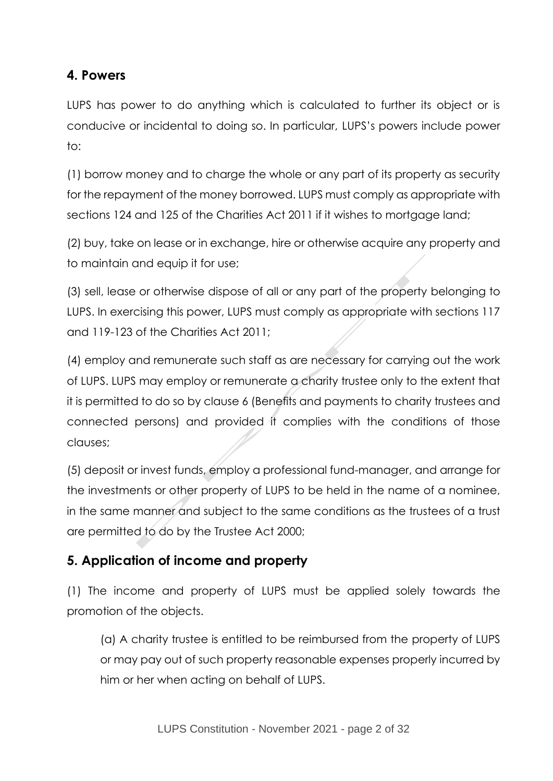## **4. Powers**

LUPS has power to do anything which is calculated to further its object or is conducive or incidental to doing so. In particular, LUPS's powers include power to:

(1) borrow money and to charge the whole or any part of its property as security for the repayment of the money borrowed. LUPS must comply as appropriate with sections 124 and 125 of the Charities Act 2011 if it wishes to mortgage land;

(2) buy, take on lease or in exchange, hire or otherwise acquire any property and to maintain and equip it for use;

(3) sell, lease or otherwise dispose of all or any part of the property belonging to LUPS. In exercising this power, LUPS must comply as appropriate with sections 117 and 119-123 of the Charities Act 2011;

(4) employ and remunerate such staff as are necessary for carrying out the work of LUPS. LUPS may employ or remunerate a charity trustee only to the extent that it is permitted to do so by clause 6 (Benefits and payments to charity trustees and connected persons) and provided it complies with the conditions of those clauses;

(5) deposit or invest funds, employ a professional fund-manager, and arrange for the investments or other property of LUPS to be held in the name of a nominee, in the same manner and subject to the same conditions as the trustees of a trust are permitted to do by the Trustee Act 2000;

## **5. Application of income and property**

(1) The income and property of LUPS must be applied solely towards the promotion of the objects.

(a) A charity trustee is entitled to be reimbursed from the property of LUPS or may pay out of such property reasonable expenses properly incurred by him or her when acting on behalf of LUPS.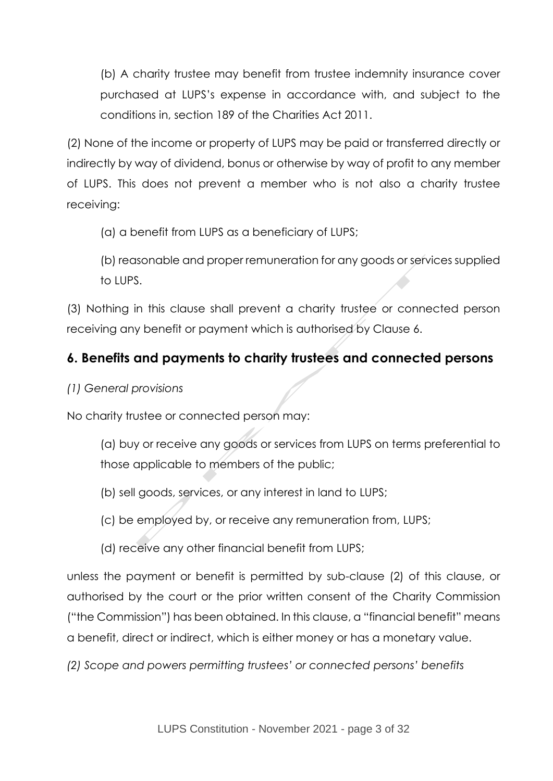(b) A charity trustee may benefit from trustee indemnity insurance cover purchased at LUPS's expense in accordance with, and subject to the conditions in, section 189 of the Charities Act 2011.

(2) None of the income or property of LUPS may be paid or transferred directly or indirectly by way of dividend, bonus or otherwise by way of profit to any member of LUPS. This does not prevent a member who is not also a charity trustee receiving:

(a) a benefit from LUPS as a beneficiary of LUPS;

(b) reasonable and proper remuneration for any goods or services supplied to LUPS.

(3) Nothing in this clause shall prevent a charity trustee or connected person receiving any benefit or payment which is authorised by Clause 6.

## **6. Benefits and payments to charity trustees and connected persons**

*(1) General provisions*

No charity trustee or connected person may:

(a) buy or receive any goods or services from LUPS on terms preferential to those applicable to members of the public;

(b) sell goods, services, or any interest in land to LUPS;

(c) be employed by, or receive any remuneration from, LUPS;

(d) receive any other financial benefit from LUPS;

unless the payment or benefit is permitted by sub-clause (2) of this clause, or authorised by the court or the prior written consent of the Charity Commission ("the Commission") has been obtained. In this clause, a "financial benefit" means a benefit, direct or indirect, which is either money or has a monetary value.

*(2) Scope and powers permitting trustees' or connected persons' benefits*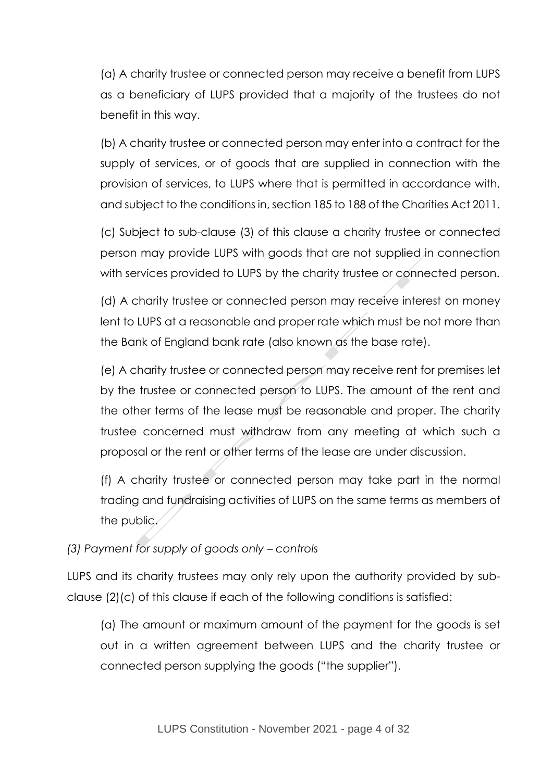(a) A charity trustee or connected person may receive a benefit from LUPS as a beneficiary of LUPS provided that a majority of the trustees do not benefit in this way.

(b) A charity trustee or connected person may enter into a contract for the supply of services, or of goods that are supplied in connection with the provision of services, to LUPS where that is permitted in accordance with, and subject to the conditions in, section 185 to 188 of the Charities Act 2011.

(c) Subject to sub-clause (3) of this clause a charity trustee or connected person may provide LUPS with goods that are not supplied in connection with services provided to LUPS by the charity trustee or connected person.

(d) A charity trustee or connected person may receive interest on money lent to LUPS at a reasonable and proper rate which must be not more than the Bank of England bank rate (also known as the base rate).

(e) A charity trustee or connected person may receive rent for premises let by the trustee or connected person to LUPS. The amount of the rent and the other terms of the lease must be reasonable and proper. The charity trustee concerned must withdraw from any meeting at which such a proposal or the rent or other terms of the lease are under discussion.

(f) A charity trustee or connected person may take part in the normal trading and fundraising activities of LUPS on the same terms as members of the public.

#### *(3) Payment for supply of goods only – controls*

LUPS and its charity trustees may only rely upon the authority provided by subclause (2)(c) of this clause if each of the following conditions is satisfied:

(a) The amount or maximum amount of the payment for the goods is set out in a written agreement between LUPS and the charity trustee or connected person supplying the goods ("the supplier").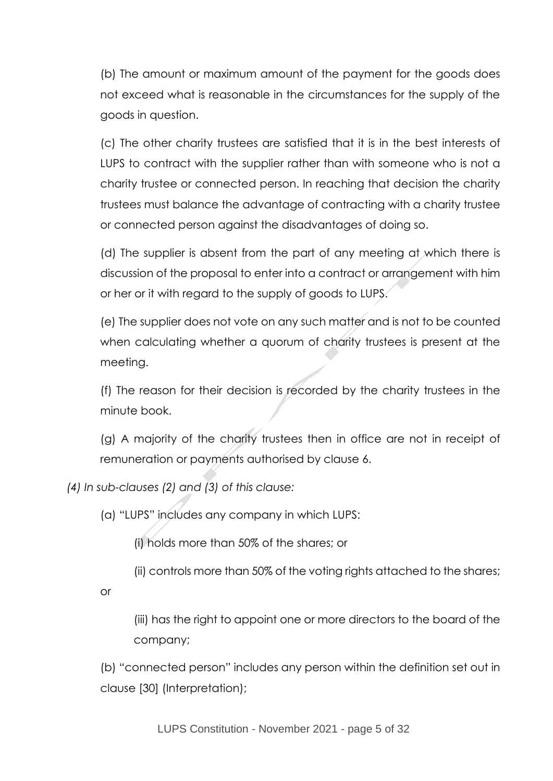(b) The amount or maximum amount of the payment for the goods does not exceed what is reasonable in the circumstances for the supply of the goods in question.

(c) The other charity trustees are satisfied that it is in the best interests of LUPS to contract with the supplier rather than with someone who is not a charity trustee or connected person. In reaching that decision the charity trustees must balance the advantage of contracting with a charity trustee or connected person against the disadvantages of doing so.

(d) The supplier is absent from the part of any meeting at which there is discussion of the proposal to enter into a contract or arrangement with him or her or it with regard to the supply of goods to LUPS.

(e) The supplier does not vote on any such matter and is not to be counted when calculating whether a quorum of charity trustees is present at the meeting.

(f) The reason for their decision is recorded by the charity trustees in the minute book.

(g) A majority of the charity trustees then in office are not in receipt of remuneration or payments authorised by clause 6.

*(4) In sub-clauses (2) and (3) of this clause:*

(a) "LUPS" includes any company in which LUPS:

(i) holds more than 50% of the shares; or

(ii) controls more than 50% of the voting rights attached to the shares;

or

(iii) has the right to appoint one or more directors to the board of the company;

(b) "connected person" includes any person within the definition set out in clause [30] (Interpretation);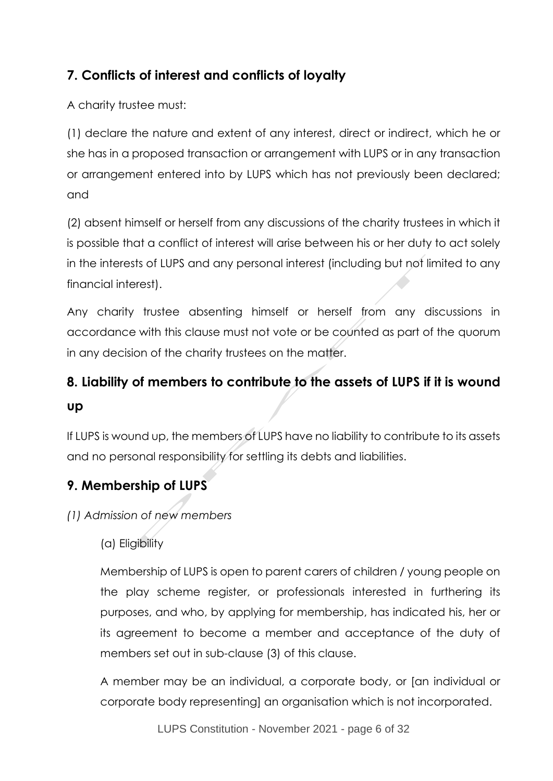## **7. Conflicts of interest and conflicts of loyalty**

A charity trustee must:

(1) declare the nature and extent of any interest, direct or indirect, which he or she has in a proposed transaction or arrangement with LUPS or in any transaction or arrangement entered into by LUPS which has not previously been declared; and

(2) absent himself or herself from any discussions of the charity trustees in which it is possible that a conflict of interest will arise between his or her duty to act solely in the interests of LUPS and any personal interest (including but not limited to any financial interest).

Any charity trustee absenting himself or herself from any discussions in accordance with this clause must not vote or be counted as part of the quorum in any decision of the charity trustees on the matter.

## **8. Liability of members to contribute to the assets of LUPS if it is wound up**

If LUPS is wound up, the members of LUPS have no liability to contribute to its assets and no personal responsibility for settling its debts and liabilities.

## **9. Membership of LUPS**

*(1) Admission of new members*

(a) Eligibility

Membership of LUPS is open to parent carers of children / young people on the play scheme register, or professionals interested in furthering its purposes, and who, by applying for membership, has indicated his, her or its agreement to become a member and acceptance of the duty of members set out in sub-clause (3) of this clause.

A member may be an individual, a corporate body, or [an individual or corporate body representing] an organisation which is not incorporated.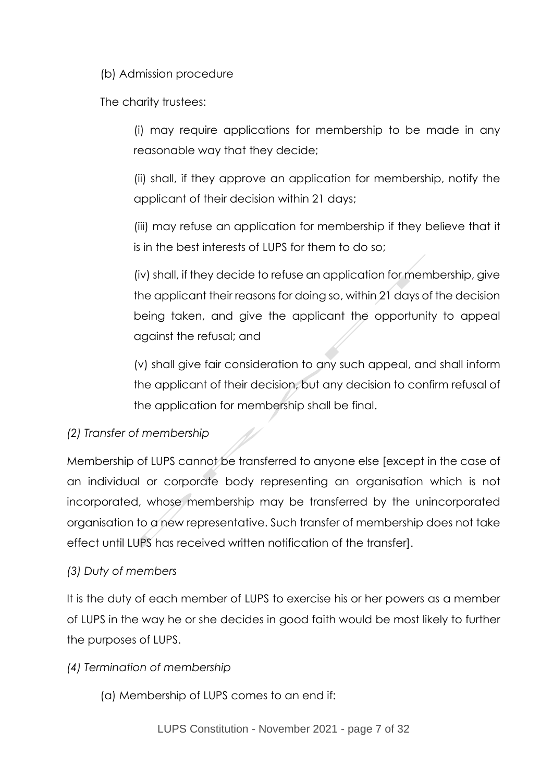(b) Admission procedure

The charity trustees:

(i) may require applications for membership to be made in any reasonable way that they decide;

(ii) shall, if they approve an application for membership, notify the applicant of their decision within 21 days;

(iii) may refuse an application for membership if they believe that it is in the best interests of LUPS for them to do so;

(iv) shall, if they decide to refuse an application for membership, give the applicant their reasons for doing so, within 21 days of the decision being taken, and give the applicant the opportunity to appeal against the refusal; and

(v) shall give fair consideration to any such appeal, and shall inform the applicant of their decision, but any decision to confirm refusal of the application for membership shall be final.

#### *(2) Transfer of membership*

Membership of LUPS cannot be transferred to anyone else [except in the case of an individual or corporate body representing an organisation which is not incorporated, whose membership may be transferred by the unincorporated organisation to a new representative. Such transfer of membership does not take effect until LUPS has received written notification of the transfer].

#### *(3) Duty of members*

It is the duty of each member of LUPS to exercise his or her powers as a member of LUPS in the way he or she decides in good faith would be most likely to further the purposes of LUPS.

#### *(4) Termination of membership*

(a) Membership of LUPS comes to an end if: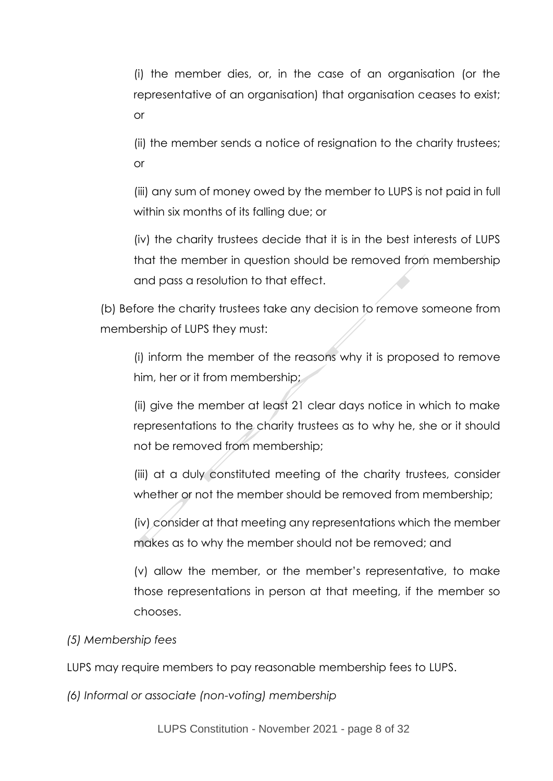(i) the member dies, or, in the case of an organisation (or the representative of an organisation) that organisation ceases to exist; or

(ii) the member sends a notice of resignation to the charity trustees; or

(iii) any sum of money owed by the member to LUPS is not paid in full within six months of its falling due; or

(iv) the charity trustees decide that it is in the best interests of LUPS that the member in question should be removed from membership and pass a resolution to that effect.

(b) Before the charity trustees take any decision to remove someone from membership of LUPS they must:

(i) inform the member of the reasons why it is proposed to remove him, her or it from membership;

(ii) give the member at least 21 clear days notice in which to make representations to the charity trustees as to why he, she or it should not be removed from membership;

(iii) at a duly constituted meeting of the charity trustees, consider whether or not the member should be removed from membership;

(iv) consider at that meeting any representations which the member makes as to why the member should not be removed; and

(v) allow the member, or the member's representative, to make those representations in person at that meeting, if the member so chooses.

*(5) Membership fees*

LUPS may require members to pay reasonable membership fees to LUPS.

*(6) Informal or associate (non-voting) membership*

LUPS Constitution - November 2021 - page 8 of 32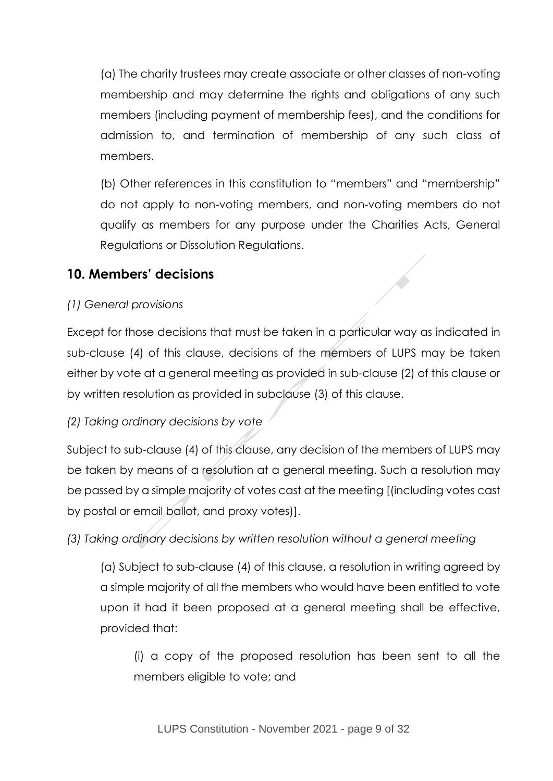(a) The charity trustees may create associate or other classes of non-voting membership and may determine the rights and obligations of any such members (including payment of membership fees), and the conditions for admission to, and termination of membership of any such class of members.

(b) Other references in this constitution to "members" and "membership" do not apply to non-voting members, and non-voting members do not qualify as members for any purpose under the Charities Acts, General Regulations or Dissolution Regulations.

## **10. Members' decisions**

#### *(1) General provisions*

Except for those decisions that must be taken in a particular way as indicated in sub-clause (4) of this clause, decisions of the members of LUPS may be taken either by vote at a general meeting as provided in sub-clause (2) of this clause or by written resolution as provided in subclause (3) of this clause.

#### *(2) Taking ordinary decisions by vote*

Subject to sub-clause (4) of this clause, any decision of the members of LUPS may be taken by means of a resolution at a general meeting. Such a resolution may be passed by a simple majority of votes cast at the meeting [(including votes cast by postal or email ballot, and proxy votes)].

*(3) Taking ordinary decisions by written resolution without a general meeting*

(a) Subject to sub-clause (4) of this clause, a resolution in writing agreed by a simple majority of all the members who would have been entitled to vote upon it had it been proposed at a general meeting shall be effective, provided that:

(i) a copy of the proposed resolution has been sent to all the members eligible to vote; and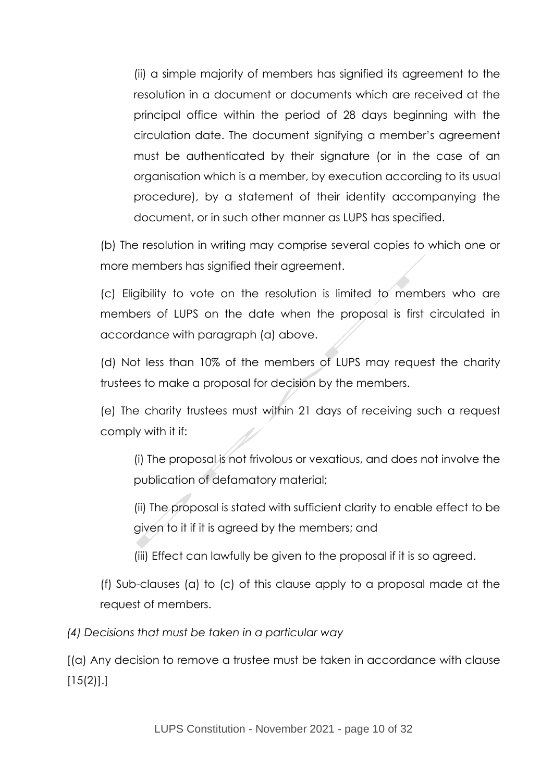(ii) a simple majority of members has signified its agreement to the resolution in a document or documents which are received at the principal office within the period of 28 days beginning with the circulation date. The document signifying a member's agreement must be authenticated by their signature (or in the case of an organisation which is a member, by execution according to its usual procedure), by a statement of their identity accompanying the document, or in such other manner as LUPS has specified.

(b) The resolution in writing may comprise several copies to which one or more members has signified their agreement.

(c) Eligibility to vote on the resolution is limited to members who are members of LUPS on the date when the proposal is first circulated in accordance with paragraph (a) above.

(d) Not less than 10% of the members of LUPS may request the charity trustees to make a proposal for decision by the members.

(e) The charity trustees must within 21 days of receiving such a request comply with it if:

(i) The proposal is not frivolous or vexatious, and does not involve the publication of defamatory material;

(ii) The proposal is stated with sufficient clarity to enable effect to be given to it if it is agreed by the members; and

(iii) Effect can lawfully be given to the proposal if it is so agreed.

(f) Sub-clauses (a) to (c) of this clause apply to a proposal made at the request of members.

*(4) Decisions that must be taken in a particular way*

[(a) Any decision to remove a trustee must be taken in accordance with clause  $[15(2)]$ .]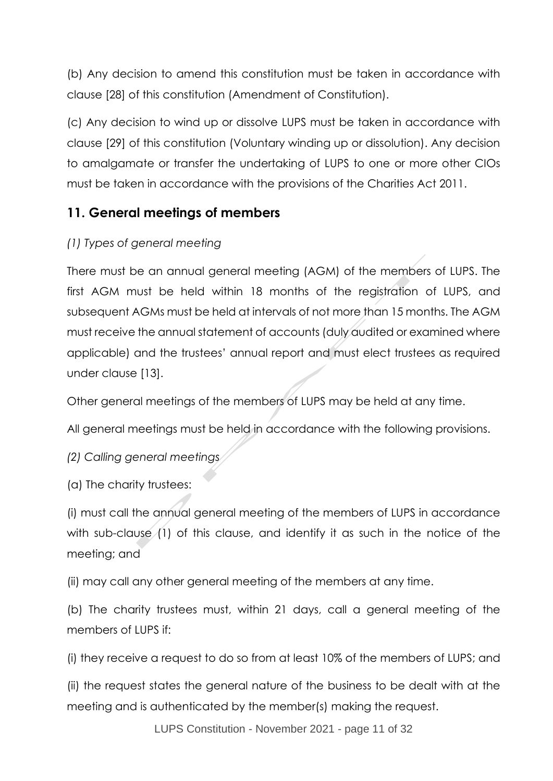(b) Any decision to amend this constitution must be taken in accordance with clause [28] of this constitution (Amendment of Constitution).

(c) Any decision to wind up or dissolve LUPS must be taken in accordance with clause [29] of this constitution (Voluntary winding up or dissolution). Any decision to amalgamate or transfer the undertaking of LUPS to one or more other CIOs must be taken in accordance with the provisions of the Charities Act 2011.

## **11. General meetings of members**

#### *(1) Types of general meeting*

There must be an annual general meeting (AGM) of the members of LUPS. The first AGM must be held within 18 months of the registration of LUPS, and subsequent AGMs must be held at intervals of not more than 15 months. The AGM must receive the annual statement of accounts (duly audited or examined where applicable) and the trustees' annual report and must elect trustees as required under clause [13].

Other general meetings of the members of LUPS may be held at any time.

All general meetings must be held in accordance with the following provisions.

*(2) Calling general meetings*

(a) The charity trustees:

(i) must call the annual general meeting of the members of LUPS in accordance with sub-clause (1) of this clause, and identify it as such in the notice of the meeting; and

(ii) may call any other general meeting of the members at any time.

(b) The charity trustees must, within 21 days, call a general meeting of the members of LUPS if:

(i) they receive a request to do so from at least 10% of the members of LUPS; and

(ii) the request states the general nature of the business to be dealt with at the meeting and is authenticated by the member(s) making the request.

LUPS Constitution - November 2021 - page 11 of 32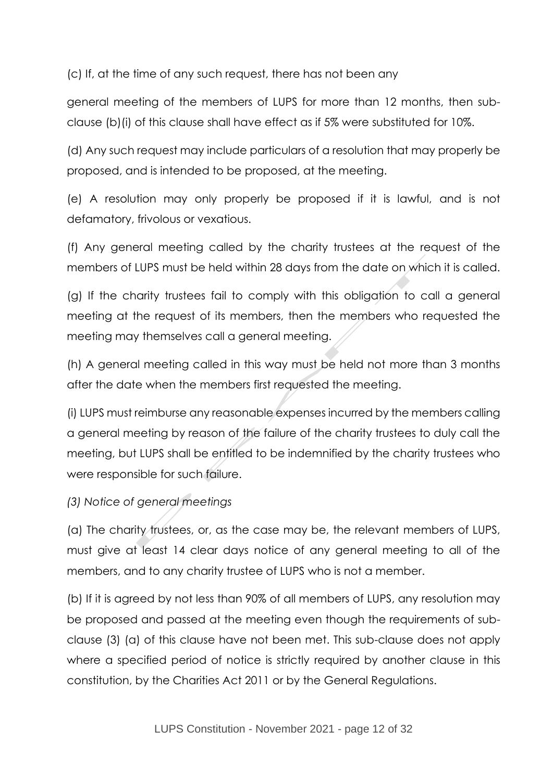(c) If, at the time of any such request, there has not been any

general meeting of the members of LUPS for more than 12 months, then subclause (b)(i) of this clause shall have effect as if 5% were substituted for 10%.

(d) Any such request may include particulars of a resolution that may properly be proposed, and is intended to be proposed, at the meeting.

(e) A resolution may only properly be proposed if it is lawful, and is not defamatory, frivolous or vexatious.

(f) Any general meeting called by the charity trustees at the request of the members of LUPS must be held within 28 days from the date on which it is called.

(g) If the charity trustees fail to comply with this obligation to call a general meeting at the request of its members, then the members who requested the meeting may themselves call a general meeting.

(h) A general meeting called in this way must be held not more than 3 months after the date when the members first requested the meeting.

(i) LUPS must reimburse any reasonable expenses incurred by the members calling a general meeting by reason of the failure of the charity trustees to duly call the meeting, but LUPS shall be entitled to be indemnified by the charity trustees who were responsible for such failure.

#### *(3) Notice of general meetings*

(a) The charity trustees, or, as the case may be, the relevant members of LUPS, must give at least 14 clear days notice of any general meeting to all of the members, and to any charity trustee of LUPS who is not a member.

(b) If it is agreed by not less than 90% of all members of LUPS, any resolution may be proposed and passed at the meeting even though the requirements of subclause (3) (a) of this clause have not been met. This sub-clause does not apply where a specified period of notice is strictly required by another clause in this constitution, by the Charities Act 2011 or by the General Regulations.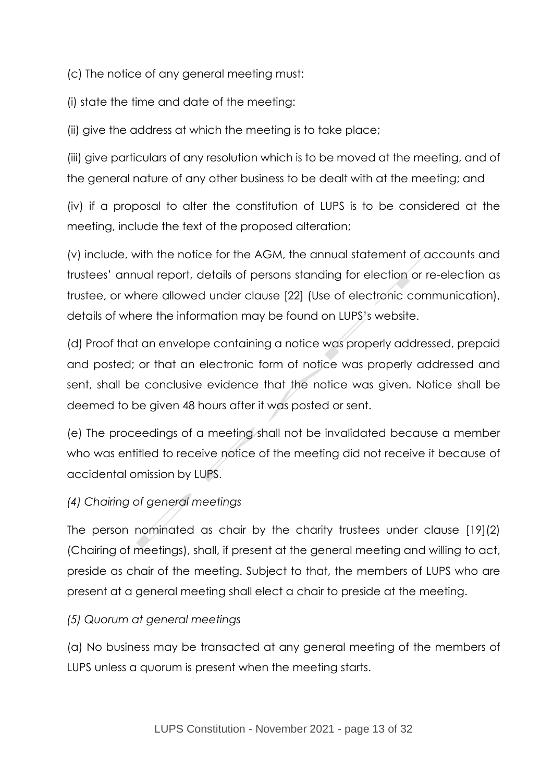(c) The notice of any general meeting must:

(i) state the time and date of the meeting:

(ii) give the address at which the meeting is to take place;

(iii) give particulars of any resolution which is to be moved at the meeting, and of the general nature of any other business to be dealt with at the meeting; and

(iv) if a proposal to alter the constitution of LUPS is to be considered at the meeting, include the text of the proposed alteration;

(v) include, with the notice for the AGM, the annual statement of accounts and trustees' annual report, details of persons standing for election or re-election as trustee, or where allowed under clause [22] (Use of electronic communication), details of where the information may be found on LUPS's website.

(d) Proof that an envelope containing a notice was properly addressed, prepaid and posted; or that an electronic form of notice was properly addressed and sent, shall be conclusive evidence that the notice was given. Notice shall be deemed to be given 48 hours after it was posted or sent.

(e) The proceedings of a meeting shall not be invalidated because a member who was entitled to receive notice of the meeting did not receive it because of accidental omission by LUPS.

#### *(4) Chairing of general meetings*

The person nominated as chair by the charity trustees under clause [19](2) (Chairing of meetings), shall, if present at the general meeting and willing to act, preside as chair of the meeting. Subject to that, the members of LUPS who are present at a general meeting shall elect a chair to preside at the meeting.

#### *(5) Quorum at general meetings*

(a) No business may be transacted at any general meeting of the members of LUPS unless a quorum is present when the meeting starts.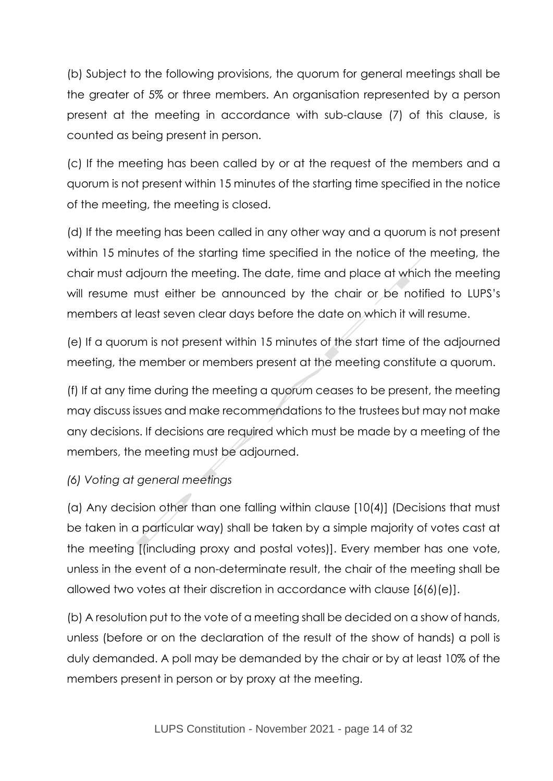(b) Subject to the following provisions, the quorum for general meetings shall be the greater of 5% or three members. An organisation represented by a person present at the meeting in accordance with sub-clause (7) of this clause, is counted as being present in person.

(c) If the meeting has been called by or at the request of the members and a quorum is not present within 15 minutes of the starting time specified in the notice of the meeting, the meeting is closed.

(d) If the meeting has been called in any other way and a quorum is not present within 15 minutes of the starting time specified in the notice of the meeting, the chair must adjourn the meeting. The date, time and place at which the meeting will resume must either be announced by the chair or be notified to LUPS's members at least seven clear days before the date on which it will resume.

(e) If a quorum is not present within 15 minutes of the start time of the adjourned meeting, the member or members present at the meeting constitute a quorum.

(f) If at any time during the meeting a quorum ceases to be present, the meeting may discuss issues and make recommendations to the trustees but may not make any decisions. If decisions are required which must be made by a meeting of the members, the meeting must be adjourned.

#### *(6) Voting at general meetings*

(a) Any decision other than one falling within clause [10(4)] (Decisions that must be taken in a particular way) shall be taken by a simple majority of votes cast at the meeting [(including proxy and postal votes)]. Every member has one vote, unless in the event of a non-determinate result, the chair of the meeting shall be allowed two votes at their discretion in accordance with clause [6(6)(e)].

(b) A resolution put to the vote of a meeting shall be decided on a show of hands, unless (before or on the declaration of the result of the show of hands) a poll is duly demanded. A poll may be demanded by the chair or by at least 10% of the members present in person or by proxy at the meeting.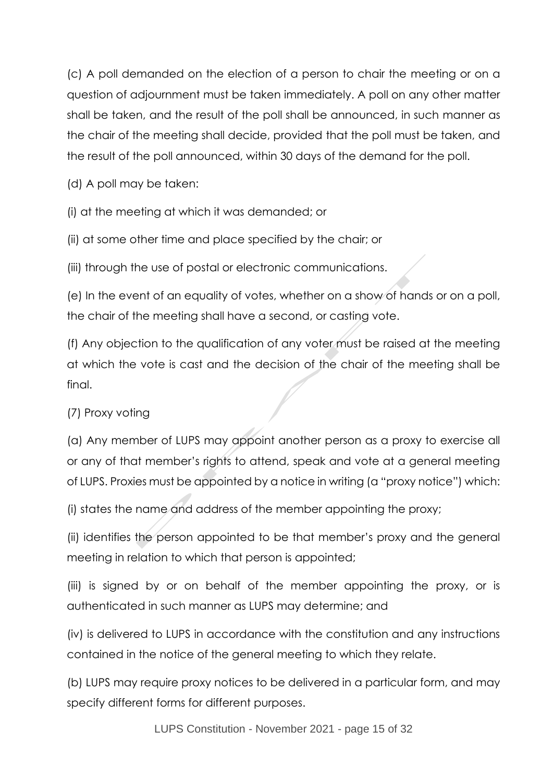(c) A poll demanded on the election of a person to chair the meeting or on a question of adjournment must be taken immediately. A poll on any other matter shall be taken, and the result of the poll shall be announced, in such manner as the chair of the meeting shall decide, provided that the poll must be taken, and the result of the poll announced, within 30 days of the demand for the poll.

(d) A poll may be taken:

(i) at the meeting at which it was demanded; or

(ii) at some other time and place specified by the chair; or

(iii) through the use of postal or electronic communications.

(e) In the event of an equality of votes, whether on a show of hands or on a poll, the chair of the meeting shall have a second, or casting vote.

(f) Any objection to the qualification of any voter must be raised at the meeting at which the vote is cast and the decision of the chair of the meeting shall be final.

#### (7) Proxy voting

(a) Any member of LUPS may appoint another person as a proxy to exercise all or any of that member's rights to attend, speak and vote at a general meeting of LUPS. Proxies must be appointed by a notice in writing (a "proxy notice") which:

(i) states the name and address of the member appointing the proxy;

(ii) identifies the person appointed to be that member's proxy and the general meeting in relation to which that person is appointed;

(iii) is signed by or on behalf of the member appointing the proxy, or is authenticated in such manner as LUPS may determine; and

(iv) is delivered to LUPS in accordance with the constitution and any instructions contained in the notice of the general meeting to which they relate.

(b) LUPS may require proxy notices to be delivered in a particular form, and may specify different forms for different purposes.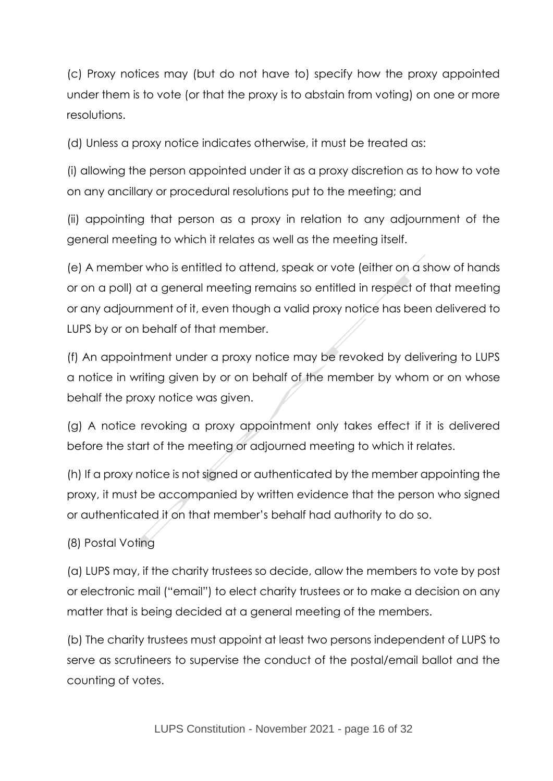(c) Proxy notices may (but do not have to) specify how the proxy appointed under them is to vote (or that the proxy is to abstain from voting) on one or more resolutions.

(d) Unless a proxy notice indicates otherwise, it must be treated as:

(i) allowing the person appointed under it as a proxy discretion as to how to vote on any ancillary or procedural resolutions put to the meeting; and

(ii) appointing that person as a proxy in relation to any adjournment of the general meeting to which it relates as well as the meeting itself.

(e) A member who is entitled to attend, speak or vote (either on a show of hands or on a poll) at a general meeting remains so entitled in respect of that meeting or any adjournment of it, even though a valid proxy notice has been delivered to LUPS by or on behalf of that member.

(f) An appointment under a proxy notice may be revoked by delivering to LUPS a notice in writing given by or on behalf of the member by whom or on whose behalf the proxy notice was given.

(g) A notice revoking a proxy appointment only takes effect if it is delivered before the start of the meeting or adjourned meeting to which it relates.

(h) If a proxy notice is not signed or authenticated by the member appointing the proxy, it must be accompanied by written evidence that the person who signed or authenticated it on that member's behalf had authority to do so.

#### (8) Postal Voting

(a) LUPS may, if the charity trustees so decide, allow the members to vote by post or electronic mail ("email") to elect charity trustees or to make a decision on any matter that is being decided at a general meeting of the members.

(b) The charity trustees must appoint at least two persons independent of LUPS to serve as scrutineers to supervise the conduct of the postal/email ballot and the counting of votes.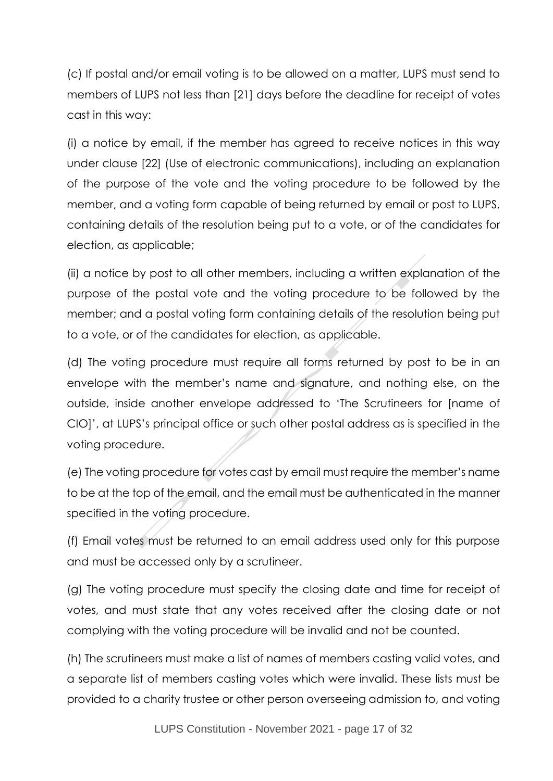(c) If postal and/or email voting is to be allowed on a matter, LUPS must send to members of LUPS not less than [21] days before the deadline for receipt of votes cast in this way:

(i) a notice by email, if the member has agreed to receive notices in this way under clause [22] (Use of electronic communications), including an explanation of the purpose of the vote and the voting procedure to be followed by the member, and a voting form capable of being returned by email or post to LUPS, containing details of the resolution being put to a vote, or of the candidates for election, as applicable;

(ii) a notice by post to all other members, including a written explanation of the purpose of the postal vote and the voting procedure to be followed by the member; and a postal voting form containing details of the resolution being put to a vote, or of the candidates for election, as applicable.

(d) The voting procedure must require all forms returned by post to be in an envelope with the member's name and signature, and nothing else, on the outside, inside another envelope addressed to 'The Scrutineers for [name of CIO]', at LUPS's principal office or such other postal address as is specified in the voting procedure.

(e) The voting procedure for votes cast by email must require the member's name to be at the top of the email, and the email must be authenticated in the manner specified in the voting procedure.

(f) Email votes must be returned to an email address used only for this purpose and must be accessed only by a scrutineer.

(g) The voting procedure must specify the closing date and time for receipt of votes, and must state that any votes received after the closing date or not complying with the voting procedure will be invalid and not be counted.

(h) The scrutineers must make a list of names of members casting valid votes, and a separate list of members casting votes which were invalid. These lists must be provided to a charity trustee or other person overseeing admission to, and voting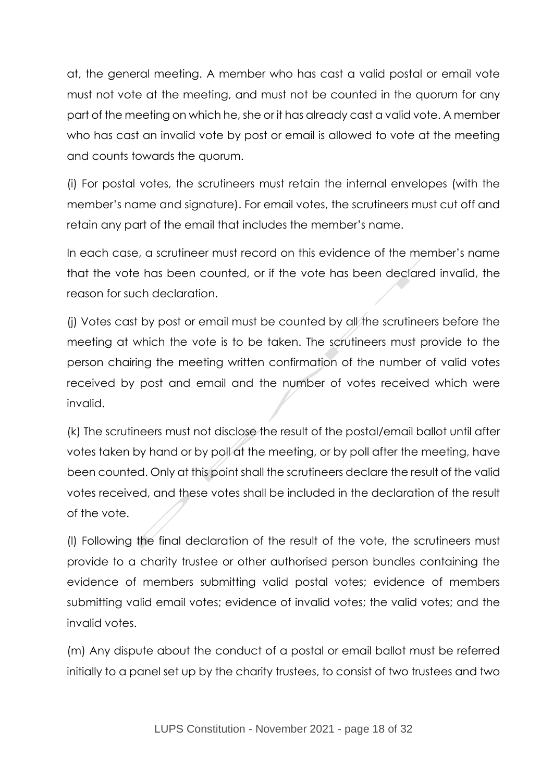at, the general meeting. A member who has cast a valid postal or email vote must not vote at the meeting, and must not be counted in the quorum for any part of the meeting on which he, she or it has already cast a valid vote. A member who has cast an invalid vote by post or email is allowed to vote at the meeting and counts towards the quorum.

(i) For postal votes, the scrutineers must retain the internal envelopes (with the member's name and signature). For email votes, the scrutineers must cut off and retain any part of the email that includes the member's name.

In each case, a scrutineer must record on this evidence of the member's name that the vote has been counted, or if the vote has been declared invalid, the reason for such declaration.

(i) Votes cast by post or email must be counted by all the scrutineers before the meeting at which the vote is to be taken. The scrutineers must provide to the person chairing the meeting written confirmation of the number of valid votes received by post and email and the number of votes received which were invalid.

(k) The scrutineers must not disclose the result of the postal/email ballot until after votes taken by hand or by poll at the meeting, or by poll after the meeting, have been counted. Only at this point shall the scrutineers declare the result of the valid votes received, and these votes shall be included in the declaration of the result of the vote.

(l) Following the final declaration of the result of the vote, the scrutineers must provide to a charity trustee or other authorised person bundles containing the evidence of members submitting valid postal votes; evidence of members submitting valid email votes; evidence of invalid votes; the valid votes; and the invalid votes.

(m) Any dispute about the conduct of a postal or email ballot must be referred initially to a panel set up by the charity trustees, to consist of two trustees and two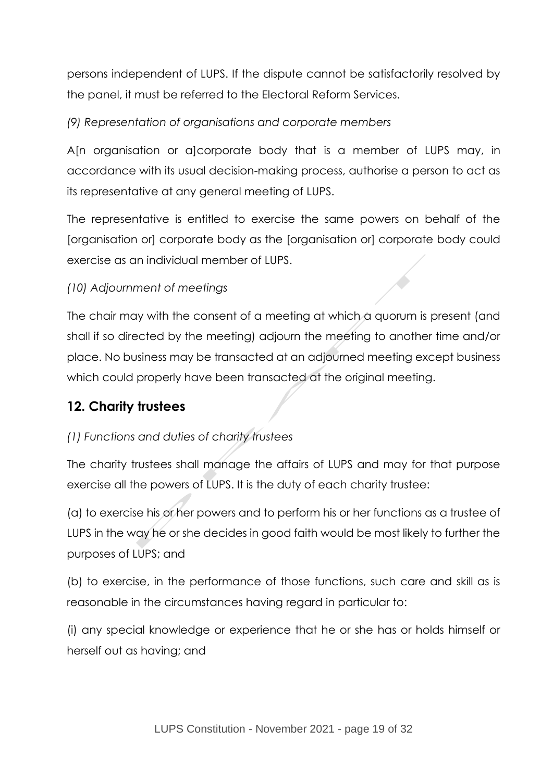persons independent of LUPS. If the dispute cannot be satisfactorily resolved by the panel, it must be referred to the Electoral Reform Services.

*(9) Representation of organisations and corporate members*

A[n organisation or a]corporate body that is a member of LUPS may, in accordance with its usual decision-making process, authorise a person to act as its representative at any general meeting of LUPS.

The representative is entitled to exercise the same powers on behalf of the [organisation or] corporate body as the [organisation or] corporate body could exercise as an individual member of LUPS.

#### *(10) Adjournment of meetings*

The chair may with the consent of a meeting at which a quorum is present (and shall if so directed by the meeting) adjourn the meeting to another time and/or place. No business may be transacted at an adjourned meeting except business which could properly have been transacted at the original meeting.

## **12. Charity trustees**

## *(1) Functions and duties of charity trustees*

The charity trustees shall manage the affairs of LUPS and may for that purpose exercise all the powers of LUPS. It is the duty of each charity trustee:

(a) to exercise his or her powers and to perform his or her functions as a trustee of LUPS in the way he or she decides in good faith would be most likely to further the purposes of LUPS; and

(b) to exercise, in the performance of those functions, such care and skill as is reasonable in the circumstances having regard in particular to:

(i) any special knowledge or experience that he or she has or holds himself or herself out as having; and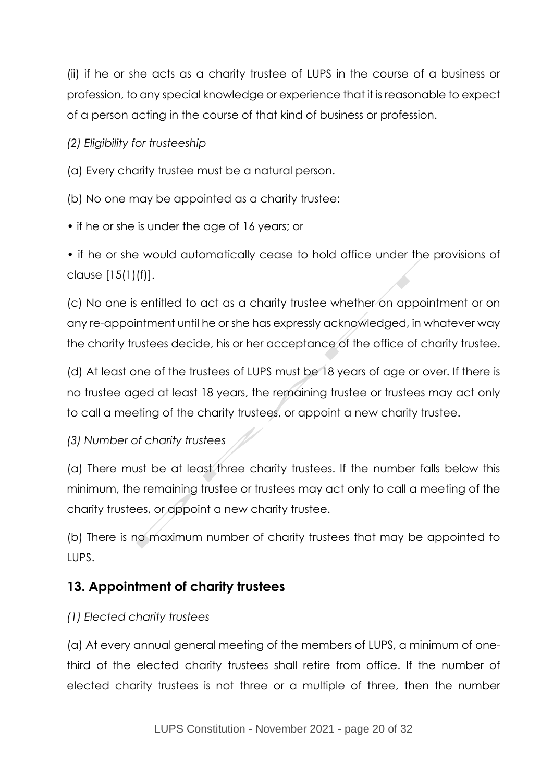(ii) if he or she acts as a charity trustee of LUPS in the course of a business or profession, to any special knowledge or experience that it is reasonable to expect of a person acting in the course of that kind of business or profession.

*(2) Eligibility for trusteeship*

(a) Every charity trustee must be a natural person.

- (b) No one may be appointed as a charity trustee:
- if he or she is under the age of 16 years; or

• if he or she would automatically cease to hold office under the provisions of clause [15(1)(f)].

(c) No one is entitled to act as a charity trustee whether on appointment or on any re-appointment until he or she has expressly acknowledged, in whatever way the charity trustees decide, his or her acceptance of the office of charity trustee.

(d) At least one of the trustees of LUPS must be 18 years of age or over. If there is no trustee aged at least 18 years, the remaining trustee or trustees may act only to call a meeting of the charity trustees, or appoint a new charity trustee.

*(3) Number of charity trustees*

(a) There must be at least three charity trustees. If the number falls below this minimum, the remaining trustee or trustees may act only to call a meeting of the charity trustees, or appoint a new charity trustee.

(b) There is no maximum number of charity trustees that may be appointed to LUPS.

## **13. Appointment of charity trustees**

## *(1) Elected charity trustees*

(a) At every annual general meeting of the members of LUPS, a minimum of onethird of the elected charity trustees shall retire from office. If the number of elected charity trustees is not three or a multiple of three, then the number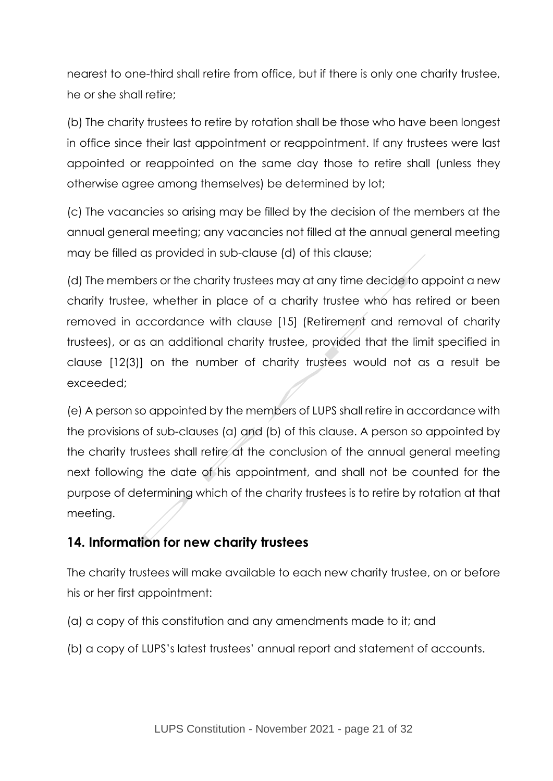nearest to one-third shall retire from office, but if there is only one charity trustee, he or she shall retire;

(b) The charity trustees to retire by rotation shall be those who have been longest in office since their last appointment or reappointment. If any trustees were last appointed or reappointed on the same day those to retire shall (unless they otherwise agree among themselves) be determined by lot;

(c) The vacancies so arising may be filled by the decision of the members at the annual general meeting; any vacancies not filled at the annual general meeting may be filled as provided in sub-clause (d) of this clause;

(d) The members or the charity trustees may at any time decide to appoint a new charity trustee, whether in place of a charity trustee who has retired or been removed in accordance with clause [15] (Retirement and removal of charity trustees), or as an additional charity trustee, provided that the limit specified in clause [12(3)] on the number of charity trustees would not as a result be exceeded;

(e) A person so appointed by the members of LUPS shall retire in accordance with the provisions of sub-clauses (a) and (b) of this clause. A person so appointed by the charity trustees shall retire at the conclusion of the annual general meeting next following the date of his appointment, and shall not be counted for the purpose of determining which of the charity trustees is to retire by rotation at that meeting.

## **14. Information for new charity trustees**

The charity trustees will make available to each new charity trustee, on or before his or her first appointment:

- (a) a copy of this constitution and any amendments made to it; and
- (b) a copy of LUPS's latest trustees' annual report and statement of accounts.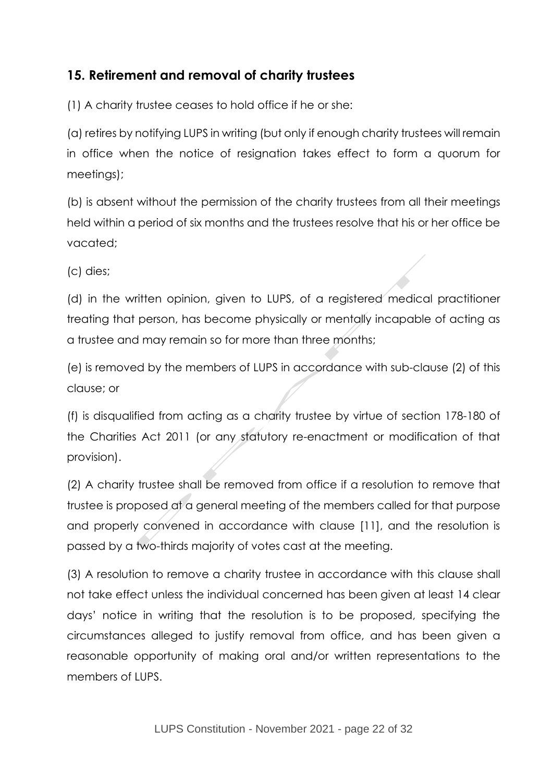## **15. Retirement and removal of charity trustees**

(1) A charity trustee ceases to hold office if he or she:

(a) retires by notifying LUPS in writing (but only if enough charity trustees will remain in office when the notice of resignation takes effect to form a quorum for meetings);

(b) is absent without the permission of the charity trustees from all their meetings held within a period of six months and the trustees resolve that his or her office be vacated;

(c) dies;

(d) in the written opinion, given to LUPS, of a registered medical practitioner treating that person, has become physically or mentally incapable of acting as a trustee and may remain so for more than three months;

(e) is removed by the members of LUPS in accordance with sub-clause (2) of this clause; or

(f) is disqualified from acting as a charity trustee by virtue of section 178-180 of the Charities Act 2011 (or any statutory re-enactment or modification of that provision).

(2) A charity trustee shall be removed from office if a resolution to remove that trustee is proposed at a general meeting of the members called for that purpose and properly convened in accordance with clause [11], and the resolution is passed by a two-thirds majority of votes cast at the meeting.

(3) A resolution to remove a charity trustee in accordance with this clause shall not take effect unless the individual concerned has been given at least 14 clear days' notice in writing that the resolution is to be proposed, specifying the circumstances alleged to justify removal from office, and has been given a reasonable opportunity of making oral and/or written representations to the members of LUPS.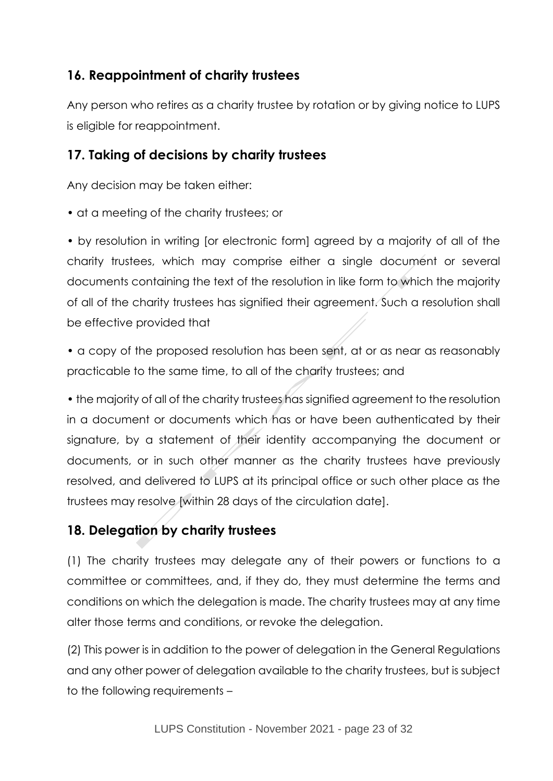## **16. Reappointment of charity trustees**

Any person who retires as a charity trustee by rotation or by giving notice to LUPS is eligible for reappointment.

## **17. Taking of decisions by charity trustees**

Any decision may be taken either:

• at a meeting of the charity trustees; or

• by resolution in writing [or electronic form] agreed by a majority of all of the charity trustees, which may comprise either a single document or several documents containing the text of the resolution in like form to which the majority of all of the charity trustees has signified their agreement. Such a resolution shall be effective provided that

• a copy of the proposed resolution has been sent, at or as near as reasonably practicable to the same time, to all of the charity trustees; and

• the majority of all of the charity trustees has signified agreement to the resolution in a document or documents which has or have been authenticated by their signature, by a statement of their identity accompanying the document or documents, or in such other manner as the charity trustees have previously resolved, and delivered to LUPS at its principal office or such other place as the trustees may resolve [within 28 days of the circulation date].

## **18. Delegation by charity trustees**

(1) The charity trustees may delegate any of their powers or functions to a committee or committees, and, if they do, they must determine the terms and conditions on which the delegation is made. The charity trustees may at any time alter those terms and conditions, or revoke the delegation.

(2) This power is in addition to the power of delegation in the General Regulations and any other power of delegation available to the charity trustees, but is subject to the following requirements –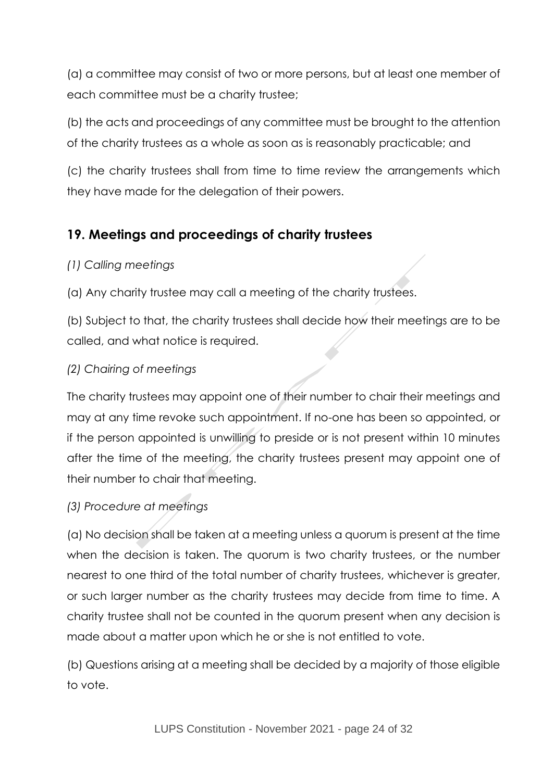(a) a committee may consist of two or more persons, but at least one member of each committee must be a charity trustee;

(b) the acts and proceedings of any committee must be brought to the attention of the charity trustees as a whole as soon as is reasonably practicable; and

(c) the charity trustees shall from time to time review the arrangements which they have made for the delegation of their powers.

## **19. Meetings and proceedings of charity trustees**

#### *(1) Calling meetings*

(a) Any charity trustee may call a meeting of the charity trustees.

(b) Subject to that, the charity trustees shall decide how their meetings are to be called, and what notice is required.

#### *(2) Chairing of meetings*

The charity trustees may appoint one of their number to chair their meetings and may at any time revoke such appointment. If no-one has been so appointed, or if the person appointed is unwilling to preside or is not present within 10 minutes after the time of the meeting, the charity trustees present may appoint one of their number to chair that meeting.

## *(3) Procedure at meetings*

(a) No decision shall be taken at a meeting unless a quorum is present at the time when the decision is taken. The quorum is two charity trustees, or the number nearest to one third of the total number of charity trustees, whichever is greater, or such larger number as the charity trustees may decide from time to time. A charity trustee shall not be counted in the quorum present when any decision is made about a matter upon which he or she is not entitled to vote.

(b) Questions arising at a meeting shall be decided by a majority of those eligible to vote.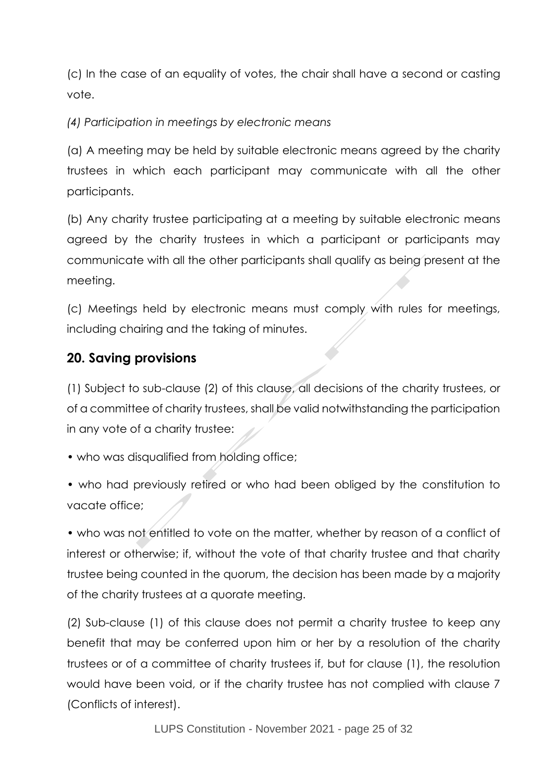(c) In the case of an equality of votes, the chair shall have a second or casting vote.

*(4) Participation in meetings by electronic means*

(a) A meeting may be held by suitable electronic means agreed by the charity trustees in which each participant may communicate with all the other participants.

(b) Any charity trustee participating at a meeting by suitable electronic means agreed by the charity trustees in which a participant or participants may communicate with all the other participants shall qualify as being present at the meeting.

(c) Meetings held by electronic means must comply with rules for meetings, including chairing and the taking of minutes.

## **20. Saving provisions**

(1) Subject to sub-clause (2) of this clause, all decisions of the charity trustees, or of a committee of charity trustees, shall be valid notwithstanding the participation in any vote of a charity trustee:

• who was disqualified from holding office;

• who had previously retired or who had been obliged by the constitution to vacate office;

• who was not entitled to vote on the matter, whether by reason of a conflict of interest or otherwise; if, without the vote of that charity trustee and that charity trustee being counted in the quorum, the decision has been made by a majority of the charity trustees at a quorate meeting.

(2) Sub-clause (1) of this clause does not permit a charity trustee to keep any benefit that may be conferred upon him or her by a resolution of the charity trustees or of a committee of charity trustees if, but for clause (1), the resolution would have been void, or if the charity trustee has not complied with clause 7 (Conflicts of interest).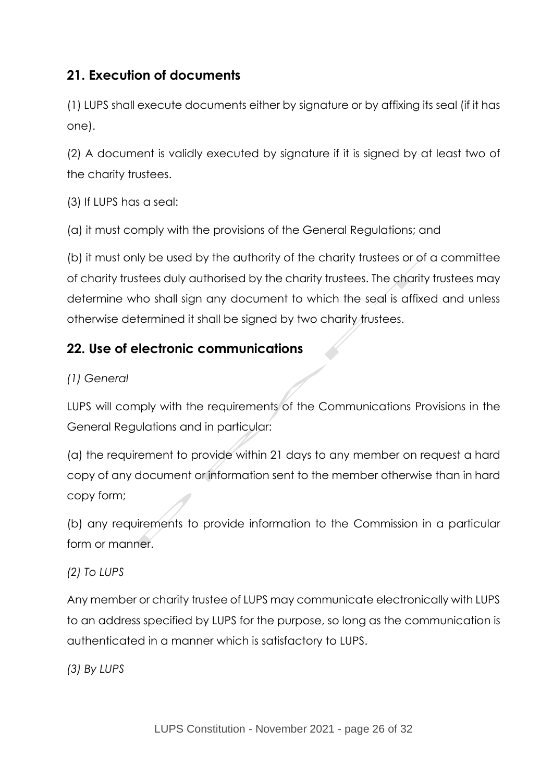## **21. Execution of documents**

(1) LUPS shall execute documents either by signature or by affixing its seal (if it has one).

(2) A document is validly executed by signature if it is signed by at least two of the charity trustees.

(3) If LUPS has a seal:

(a) it must comply with the provisions of the General Regulations; and

(b) it must only be used by the authority of the charity trustees or of a committee of charity trustees duly authorised by the charity trustees. The charity trustees may determine who shall sign any document to which the seal is affixed and unless otherwise determined it shall be signed by two charity trustees.

## **22. Use of electronic communications**

#### *(1) General*

LUPS will comply with the requirements of the Communications Provisions in the General Regulations and in particular:

(a) the requirement to provide within 21 days to any member on request a hard copy of any document or information sent to the member otherwise than in hard copy form;

(b) any requirements to provide information to the Commission in a particular form or manner.

#### *(2) To LUPS*

Any member or charity trustee of LUPS may communicate electronically with LUPS to an address specified by LUPS for the purpose, so long as the communication is authenticated in a manner which is satisfactory to LUPS.

*(3) By LUPS*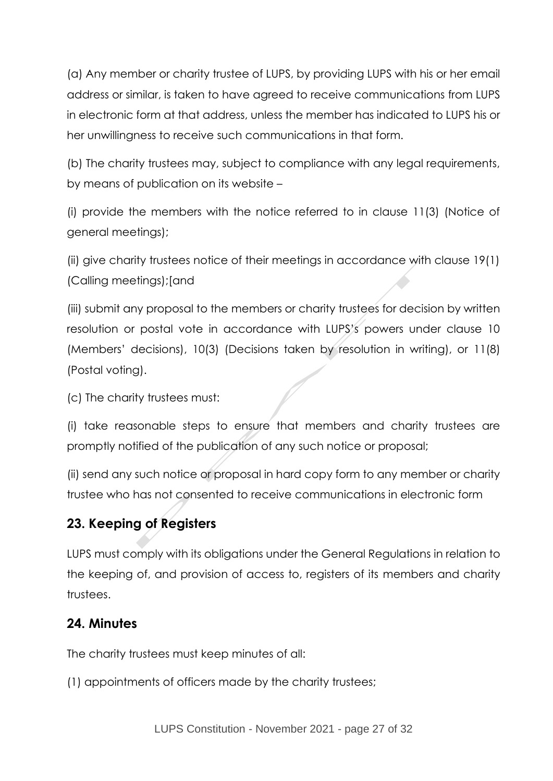(a) Any member or charity trustee of LUPS, by providing LUPS with his or her email address or similar, is taken to have agreed to receive communications from LUPS in electronic form at that address, unless the member has indicated to LUPS his or her unwillingness to receive such communications in that form.

(b) The charity trustees may, subject to compliance with any legal requirements, by means of publication on its website –

(i) provide the members with the notice referred to in clause 11(3) (Notice of general meetings);

(ii) give charity trustees notice of their meetings in accordance with clause 19(1) (Calling meetings);[and

(iii) submit any proposal to the members or charity trustees for decision by written resolution or postal vote in accordance with LUPS's powers under clause 10 (Members' decisions), 10(3) (Decisions taken by resolution in writing), or 11(8) (Postal voting).

(c) The charity trustees must:

(i) take reasonable steps to ensure that members and charity trustees are promptly notified of the publication of any such notice or proposal;

(ii) send any such notice or proposal in hard copy form to any member or charity trustee who has not consented to receive communications in electronic form

## **23. Keeping of Registers**

LUPS must comply with its obligations under the General Regulations in relation to the keeping of, and provision of access to, registers of its members and charity trustees.

#### **24. Minutes**

The charity trustees must keep minutes of all:

(1) appointments of officers made by the charity trustees;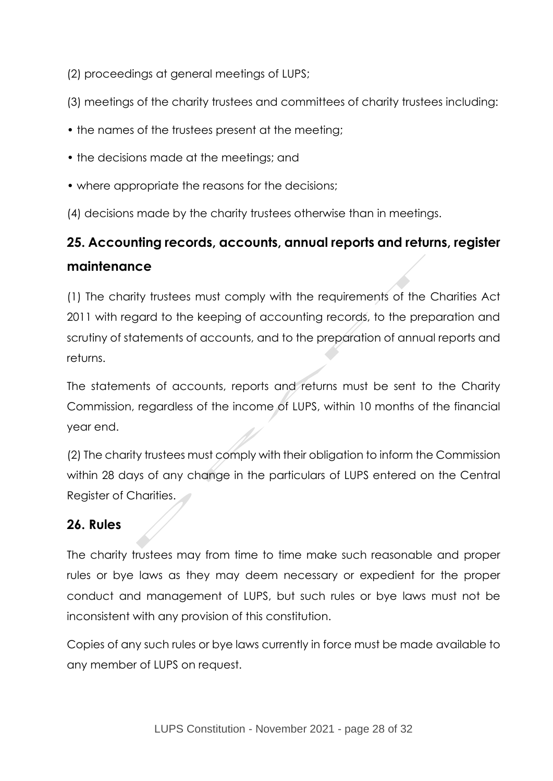(2) proceedings at general meetings of LUPS;

- (3) meetings of the charity trustees and committees of charity trustees including:
- the names of the trustees present at the meeting;
- the decisions made at the meetings; and
- where appropriate the reasons for the decisions;
- (4) decisions made by the charity trustees otherwise than in meetings.

## **25. Accounting records, accounts, annual reports and returns, register maintenance**

(1) The charity trustees must comply with the requirements of the Charities Act 2011 with regard to the keeping of accounting records, to the preparation and scrutiny of statements of accounts, and to the preparation of annual reports and returns.

The statements of accounts, reports and returns must be sent to the Charity Commission, regardless of the income of LUPS, within 10 months of the financial year end.

(2) The charity trustees must comply with their obligation to inform the Commission within 28 days of any change in the particulars of LUPS entered on the Central Register of Charities.

## **26. Rules**

The charity trustees may from time to time make such reasonable and proper rules or bye laws as they may deem necessary or expedient for the proper conduct and management of LUPS, but such rules or bye laws must not be inconsistent with any provision of this constitution.

Copies of any such rules or bye laws currently in force must be made available to any member of LUPS on request.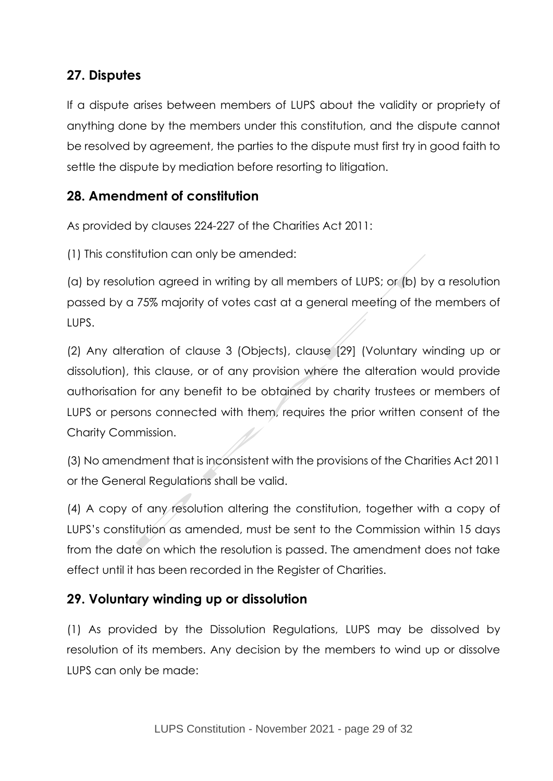## **27. Disputes**

If a dispute arises between members of LUPS about the validity or propriety of anything done by the members under this constitution, and the dispute cannot be resolved by agreement, the parties to the dispute must first try in good faith to settle the dispute by mediation before resorting to litigation.

## **28. Amendment of constitution**

As provided by clauses 224-227 of the Charities Act 2011:

(1) This constitution can only be amended:

(a) by resolution agreed in writing by all members of LUPS; or (b) by a resolution passed by a 75% majority of votes cast at a general meeting of the members of LUPS.

(2) Any alteration of clause 3 (Objects), clause [29] (Voluntary winding up or dissolution), this clause, or of any provision where the alteration would provide authorisation for any benefit to be obtained by charity trustees or members of LUPS or persons connected with them, requires the prior written consent of the Charity Commission.

(3) No amendment that is inconsistent with the provisions of the Charities Act 2011 or the General Regulations shall be valid.

(4) A copy of any resolution altering the constitution, together with a copy of LUPS's constitution as amended, must be sent to the Commission within 15 days from the date on which the resolution is passed. The amendment does not take effect until it has been recorded in the Register of Charities.

## **29. Voluntary winding up or dissolution**

(1) As provided by the Dissolution Regulations, LUPS may be dissolved by resolution of its members. Any decision by the members to wind up or dissolve LUPS can only be made: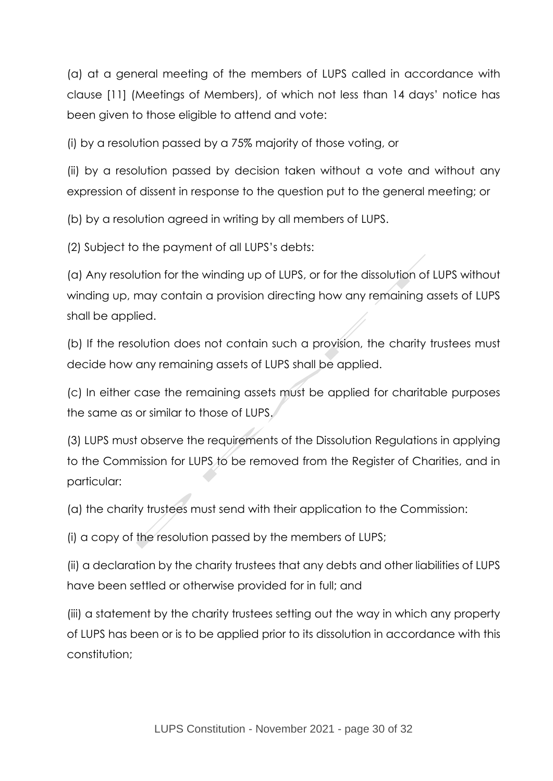(a) at a general meeting of the members of LUPS called in accordance with clause [11] (Meetings of Members), of which not less than 14 days' notice has been given to those eligible to attend and vote:

(i) by a resolution passed by a 75% majority of those voting, or

(ii) by a resolution passed by decision taken without a vote and without any expression of dissent in response to the question put to the general meeting; or

(b) by a resolution agreed in writing by all members of LUPS.

(2) Subject to the payment of all LUPS's debts:

(a) Any resolution for the winding up of LUPS, or for the dissolution of LUPS without winding up, may contain a provision directing how any remaining assets of LUPS shall be applied.

(b) If the resolution does not contain such a provision, the charity trustees must decide how any remaining assets of LUPS shall be applied.

(c) In either case the remaining assets must be applied for charitable purposes the same as or similar to those of LUPS.

(3) LUPS must observe the requirements of the Dissolution Regulations in applying to the Commission for LUPS to be removed from the Register of Charities, and in particular:

(a) the charity trustees must send with their application to the Commission:

(i) a copy of the resolution passed by the members of LUPS;

(ii) a declaration by the charity trustees that any debts and other liabilities of LUPS have been settled or otherwise provided for in full; and

(iii) a statement by the charity trustees setting out the way in which any property of LUPS has been or is to be applied prior to its dissolution in accordance with this constitution;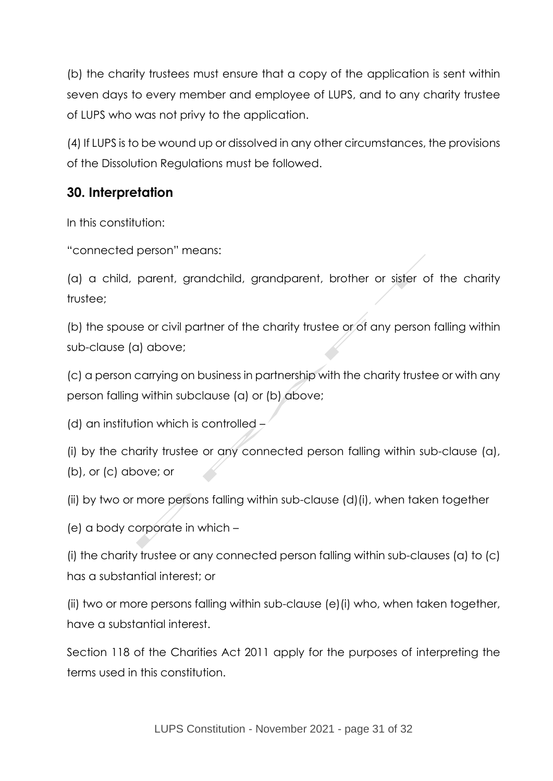(b) the charity trustees must ensure that a copy of the application is sent within seven days to every member and employee of LUPS, and to any charity trustee of LUPS who was not privy to the application.

(4) If LUPS is to be wound up or dissolved in any other circumstances, the provisions of the Dissolution Regulations must be followed.

## **30. Interpretation**

In this constitution:

"connected person" means:

(a) a child, parent, grandchild, grandparent, brother or sister of the charity trustee;

(b) the spouse or civil partner of the charity trustee or of any person falling within sub-clause (a) above;

(c) a person carrying on business in partnership with the charity trustee or with any person falling within subclause (a) or (b) above;

(d) an institution which is controlled  $-$ 

(i) by the charity trustee or any connected person falling within sub-clause (a), (b), or (c) above; or

(ii) by two or more persons falling within sub-clause (d)(i), when taken together

(e) a body corporate in which –

(i) the charity trustee or any connected person falling within sub-clauses (a) to (c) has a substantial interest; or

(ii) two or more persons falling within sub-clause (e)(i) who, when taken together, have a substantial interest.

Section 118 of the Charities Act 2011 apply for the purposes of interpreting the terms used in this constitution.